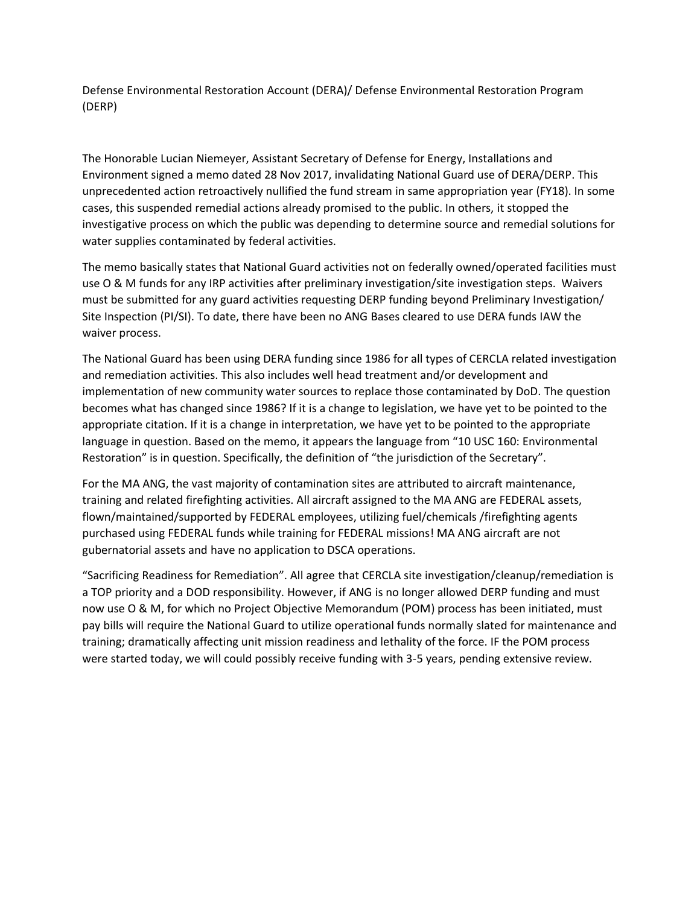Defense Environmental Restoration Account (DERA)/ Defense Environmental Restoration Program (DERP)

The Honorable Lucian Niemeyer, Assistant Secretary of Defense for Energy, Installations and Environment signed a memo dated 28 Nov 2017, invalidating National Guard use of DERA/DERP. This unprecedented action retroactively nullified the fund stream in same appropriation year (FY18). In some cases, this suspended remedial actions already promised to the public. In others, it stopped the investigative process on which the public was depending to determine source and remedial solutions for water supplies contaminated by federal activities.

The memo basically states that National Guard activities not on federally owned/operated facilities must use O & M funds for any IRP activities after preliminary investigation/site investigation steps. Waivers must be submitted for any guard activities requesting DERP funding beyond Preliminary Investigation/ Site Inspection (PI/SI). To date, there have been no ANG Bases cleared to use DERA funds IAW the waiver process.

The National Guard has been using DERA funding since 1986 for all types of CERCLA related investigation and remediation activities. This also includes well head treatment and/or development and implementation of new community water sources to replace those contaminated by DoD. The question becomes what has changed since 1986? If it is a change to legislation, we have yet to be pointed to the appropriate citation. If it is a change in interpretation, we have yet to be pointed to the appropriate language in question. Based on the memo, it appears the language from "10 USC 160: Environmental Restoration" is in question. Specifically, the definition of "the jurisdiction of the Secretary".

For the MA ANG, the vast majority of contamination sites are attributed to aircraft maintenance, training and related firefighting activities. All aircraft assigned to the MA ANG are FEDERAL assets, flown/maintained/supported by FEDERAL employees, utilizing fuel/chemicals /firefighting agents purchased using FEDERAL funds while training for FEDERAL missions! MA ANG aircraft are not gubernatorial assets and have no application to DSCA operations.

"Sacrificing Readiness for Remediation". All agree that CERCLA site investigation/cleanup/remediation is a TOP priority and a DOD responsibility. However, if ANG is no longer allowed DERP funding and must now use O & M, for which no Project Objective Memorandum (POM) process has been initiated, must pay bills will require the National Guard to utilize operational funds normally slated for maintenance and training; dramatically affecting unit mission readiness and lethality of the force. IF the POM process were started today, we will could possibly receive funding with 3-5 years, pending extensive review.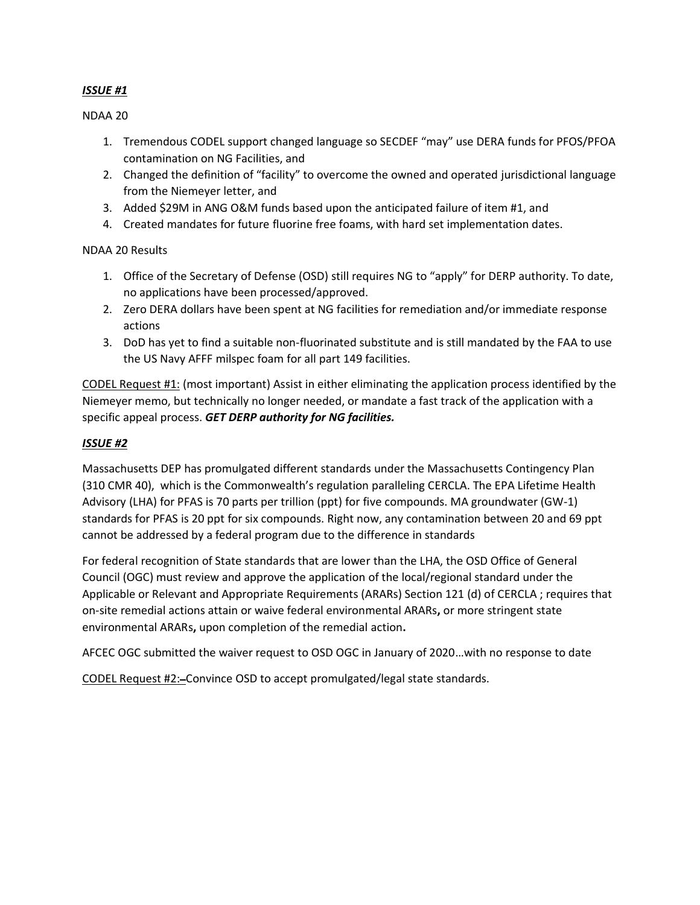## *ISSUE #1*

NDAA 20

- 1. Tremendous CODEL support changed language so SECDEF "may" use DERA funds for PFOS/PFOA contamination on NG Facilities, and
- 2. Changed the definition of "facility" to overcome the owned and operated jurisdictional language from the Niemeyer letter, and
- 3. Added \$29M in ANG O&M funds based upon the anticipated failure of item #1, and
- 4. Created mandates for future fluorine free foams, with hard set implementation dates.

NDAA 20 Results

- 1. Office of the Secretary of Defense (OSD) still requires NG to "apply" for DERP authority. To date, no applications have been processed/approved.
- 2. Zero DERA dollars have been spent at NG facilities for remediation and/or immediate response actions
- 3. DoD has yet to find a suitable non-fluorinated substitute and is still mandated by the FAA to use the US Navy AFFF milspec foam for all part 149 facilities.

CODEL Request #1: (most important) Assist in either eliminating the application process identified by the Niemeyer memo, but technically no longer needed, or mandate a fast track of the application with a specific appeal process. *GET DERP authority for NG facilities.*

## *ISSUE #2*

Massachusetts DEP has promulgated different standards under the Massachusetts Contingency Plan (310 CMR 40), which is the Commonwealth's regulation paralleling CERCLA. The EPA Lifetime Health Advisory (LHA) for PFAS is 70 parts per trillion (ppt) for five compounds. MA groundwater (GW-1) standards for PFAS is 20 ppt for six compounds. Right now, any contamination between 20 and 69 ppt cannot be addressed by a federal program due to the difference in standards

For federal recognition of State standards that are lower than the LHA, the OSD Office of General Council (OGC) must review and approve the application of the local/regional standard under the Applicable or Relevant and Appropriate Requirements (ARARs) Section 121 (d) of CERCLA ; requires that on-site remedial actions attain or waive federal environmental ARARs**,** or more stringent state environmental ARARs**,** upon completion of the remedial action**.**

AFCEC OGC submitted the waiver request to OSD OGC in January of 2020…with no response to date

CODEL Request #2:-Convince OSD to accept promulgated/legal state standards.